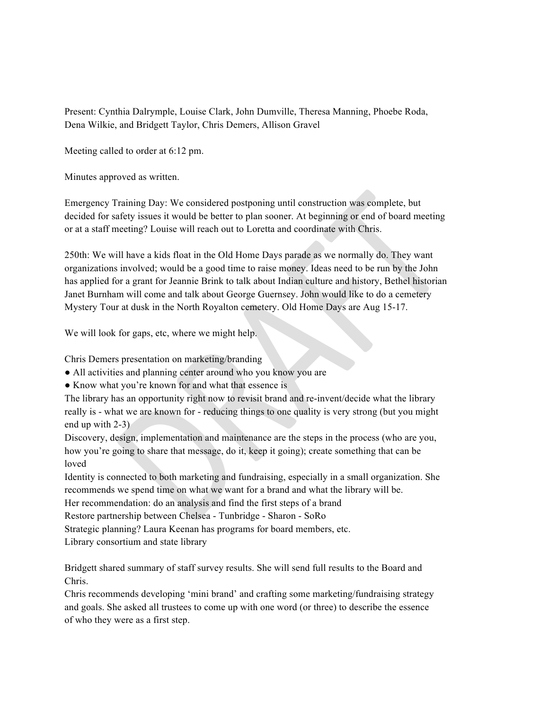Present: Cynthia Dalrymple, Louise Clark, John Dumville, Theresa Manning, Phoebe Roda, Dena Wilkie, and Bridgett Taylor, Chris Demers, Allison Gravel

Meeting called to order at 6:12 pm.

Minutes approved as written.

Emergency Training Day: We considered postponing until construction was complete, but decided for safety issues it would be better to plan sooner. At beginning or end of board meeting or at a staff meeting? Louise will reach out to Loretta and coordinate with Chris.

250th: We will have a kids float in the Old Home Days parade as we normally do. They want organizations involved; would be a good time to raise money. Ideas need to be run by the John has applied for a grant for Jeannie Brink to talk about Indian culture and history, Bethel historian Janet Burnham will come and talk about George Guernsey. John would like to do a cemetery Mystery Tour at dusk in the North Royalton cemetery. Old Home Days are Aug 15-17.

We will look for gaps, etc, where we might help.

Chris Demers presentation on marketing/branding

• All activities and planning center around who you know you are

● Know what you're known for and what that essence is

The library has an opportunity right now to revisit brand and re-invent/decide what the library really is - what we are known for - reducing things to one quality is very strong (but you might end up with 2-3)

Discovery, design, implementation and maintenance are the steps in the process (who are you, how you're going to share that message, do it, keep it going); create something that can be loved

Identity is connected to both marketing and fundraising, especially in a small organization. She recommends we spend time on what we want for a brand and what the library will be.

Her recommendation: do an analysis and find the first steps of a brand

Restore partnership between Chelsea - Tunbridge - Sharon - SoRo

Strategic planning? Laura Keenan has programs for board members, etc.

Library consortium and state library

Bridgett shared summary of staff survey results. She will send full results to the Board and Chris.

Chris recommends developing 'mini brand' and crafting some marketing/fundraising strategy and goals. She asked all trustees to come up with one word (or three) to describe the essence of who they were as a first step.